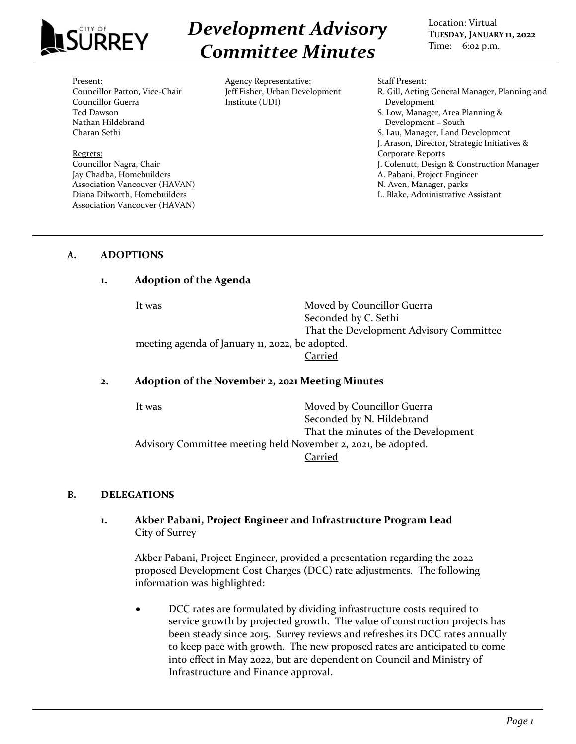

*Development Advisory Committee Minutes*

Location: Virtual **TUESDAY, JANUARY 11, 2022** Time: 6:02 p.m.

#### Present:

Councillor Patton, Vice-Chair Councillor Guerra Ted Dawson Nathan Hildebrand Charan Sethi

Regrets: Councillor Nagra, Chair Jay Chadha, Homebuilders Association Vancouver (HAVAN) Diana Dilworth, Homebuilders Association Vancouver (HAVAN)

Agency Representative: Jeff Fisher, Urban Development Institute (UDI)

Staff Present:

R. Gill, Acting General Manager, Planning and Development S. Low, Manager, Area Planning & Development – South S. Lau, Manager, Land Development J. Arason, Director, Strategic Initiatives & Corporate Reports J. Colenutt, Design & Construction Manager A. Pabani, Project Engineer N. Aven, Manager, parks L. Blake, Administrative Assistant

### **A. ADOPTIONS**

#### **1. Adoption of the Agenda**

It was Moved by Councillor Guerra Seconded by C. Sethi That the Development Advisory Committee meeting agenda of January 11, 2022, be adopted. Carried

#### **2. Adoption of the November 2, 2021 Meeting Minutes**

It was **Moved by Councillor Guerra** Seconded by N. Hildebrand That the minutes of the Development Advisory Committee meeting held November 2, 2021, be adopted. Carried

#### **B. DELEGATIONS**

## **1. Akber Pabani, Project Engineer and Infrastructure Program Lead** City of Surrey

Akber Pabani, Project Engineer, provided a presentation regarding the 2022 proposed Development Cost Charges (DCC) rate adjustments. The following information was highlighted:

• DCC rates are formulated by dividing infrastructure costs required to service growth by projected growth. The value of construction projects has been steady since 2015. Surrey reviews and refreshes its DCC rates annually to keep pace with growth. The new proposed rates are anticipated to come into effect in May 2022, but are dependent on Council and Ministry of Infrastructure and Finance approval.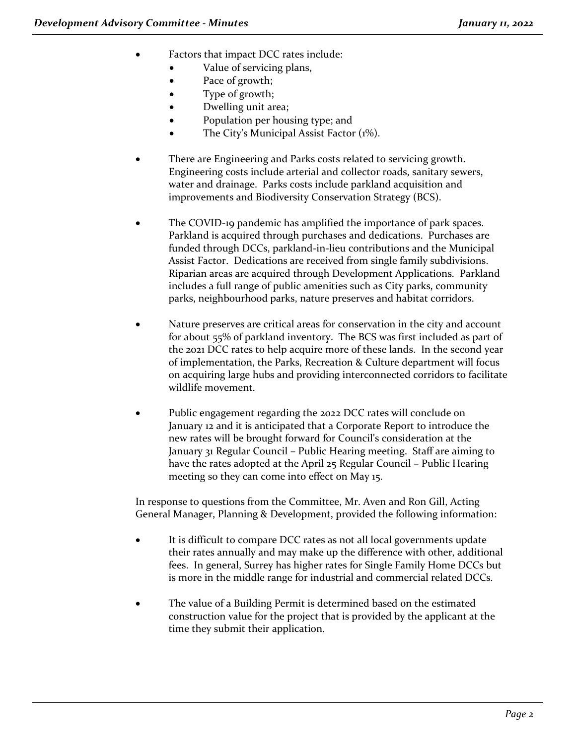- Factors that impact DCC rates include:
	- Value of servicing plans,
	- Pace of growth;
	- Type of growth;
	- Dwelling unit area;
	- Population per housing type; and
	- The City's Municipal Assist Factor (1%).
- There are Engineering and Parks costs related to servicing growth. Engineering costs include arterial and collector roads, sanitary sewers, water and drainage. Parks costs include parkland acquisition and improvements and Biodiversity Conservation Strategy (BCS).
- The COVID-19 pandemic has amplified the importance of park spaces. Parkland is acquired through purchases and dedications. Purchases are funded through DCCs, parkland-in-lieu contributions and the Municipal Assist Factor. Dedications are received from single family subdivisions. Riparian areas are acquired through Development Applications. Parkland includes a full range of public amenities such as City parks, community parks, neighbourhood parks, nature preserves and habitat corridors.
- Nature preserves are critical areas for conservation in the city and account for about 55% of parkland inventory. The BCS was first included as part of the 2021 DCC rates to help acquire more of these lands. In the second year of implementation, the Parks, Recreation & Culture department will focus on acquiring large hubs and providing interconnected corridors to facilitate wildlife movement.
- Public engagement regarding the 2022 DCC rates will conclude on January 12 and it is anticipated that a Corporate Report to introduce the new rates will be brought forward for Council's consideration at the January 31 Regular Council – Public Hearing meeting. Staff are aiming to have the rates adopted at the April 25 Regular Council – Public Hearing meeting so they can come into effect on May 15.

In response to questions from the Committee, Mr. Aven and Ron Gill, Acting General Manager, Planning & Development, provided the following information:

- It is difficult to compare DCC rates as not all local governments update their rates annually and may make up the difference with other, additional fees. In general, Surrey has higher rates for Single Family Home DCCs but is more in the middle range for industrial and commercial related DCCs.
- The value of a Building Permit is determined based on the estimated construction value for the project that is provided by the applicant at the time they submit their application.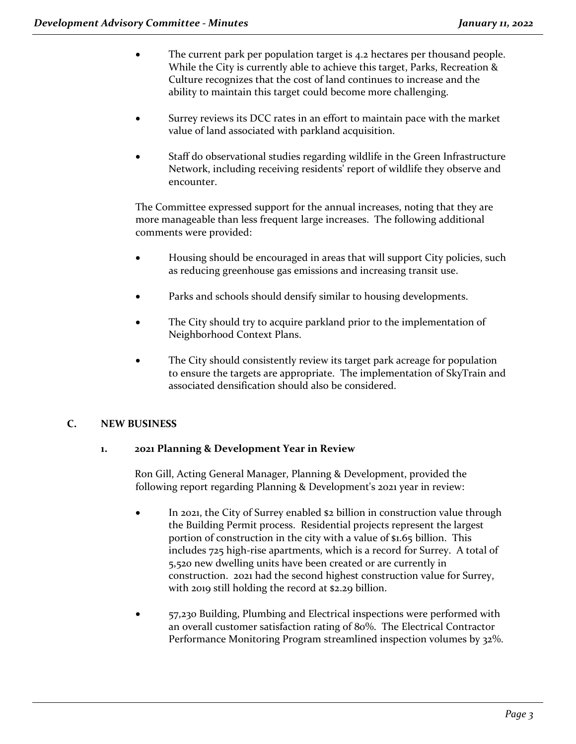- The current park per population target is 4.2 hectares per thousand people. While the City is currently able to achieve this target, Parks, Recreation & Culture recognizes that the cost of land continues to increase and the ability to maintain this target could become more challenging.
- Surrey reviews its DCC rates in an effort to maintain pace with the market value of land associated with parkland acquisition.
- Staff do observational studies regarding wildlife in the Green Infrastructure Network, including receiving residents' report of wildlife they observe and encounter.

The Committee expressed support for the annual increases, noting that they are more manageable than less frequent large increases. The following additional comments were provided:

- Housing should be encouraged in areas that will support City policies, such as reducing greenhouse gas emissions and increasing transit use.
- Parks and schools should densify similar to housing developments.
- The City should try to acquire parkland prior to the implementation of Neighborhood Context Plans.
- The City should consistently review its target park acreage for population to ensure the targets are appropriate. The implementation of SkyTrain and associated densification should also be considered.

# **C. NEW BUSINESS**

## **1. 2021 Planning & Development Year in Review**

Ron Gill, Acting General Manager, Planning & Development, provided the following report regarding Planning & Development's 2021 year in review:

- In 2021, the City of Surrey enabled \$2 billion in construction value through the Building Permit process. Residential projects represent the largest portion of construction in the city with a value of \$1.65 billion. This includes 725 high-rise apartments, which is a record for Surrey. A total of 5,520 new dwelling units have been created or are currently in construction. 2021 had the second highest construction value for Surrey, with 2019 still holding the record at \$2.29 billion.
- 57,230 Building, Plumbing and Electrical inspections were performed with an overall customer satisfaction rating of 80%. The Electrical Contractor Performance Monitoring Program streamlined inspection volumes by 32%.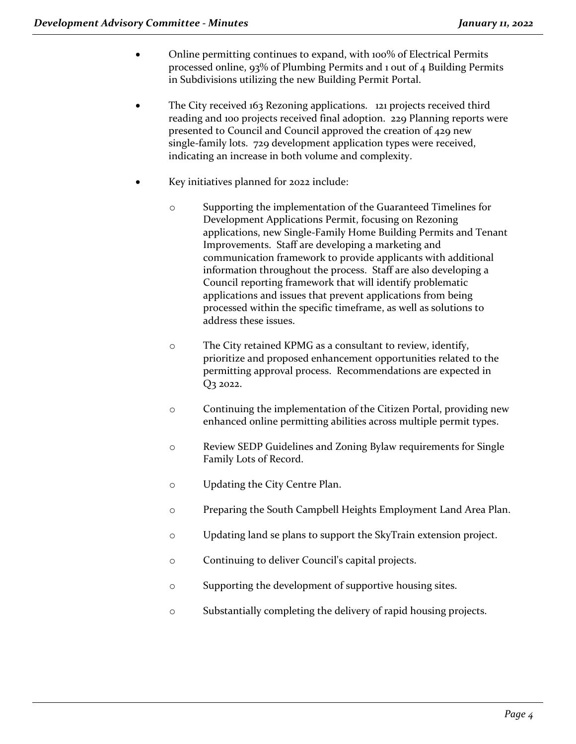- Online permitting continues to expand, with 100% of Electrical Permits processed online, 93% of Plumbing Permits and 1 out of 4 Building Permits in Subdivisions utilizing the new Building Permit Portal.
- The City received 163 Rezoning applications. 121 projects received third reading and 100 projects received final adoption. 229 Planning reports were presented to Council and Council approved the creation of 429 new single-family lots. 729 development application types were received, indicating an increase in both volume and complexity.
- Key initiatives planned for 2022 include:
	- o Supporting the implementation of the Guaranteed Timelines for Development Applications Permit, focusing on Rezoning applications, new Single-Family Home Building Permits and Tenant Improvements. Staff are developing a marketing and communication framework to provide applicants with additional information throughout the process. Staff are also developing a Council reporting framework that will identify problematic applications and issues that prevent applications from being processed within the specific timeframe, as well as solutions to address these issues.
	- o The City retained KPMG as a consultant to review, identify, prioritize and proposed enhancement opportunities related to the permitting approval process. Recommendations are expected in Q3 2022.
	- o Continuing the implementation of the Citizen Portal, providing new enhanced online permitting abilities across multiple permit types.
	- o Review SEDP Guidelines and Zoning Bylaw requirements for Single Family Lots of Record.
	- o Updating the City Centre Plan.
	- o Preparing the South Campbell Heights Employment Land Area Plan.
	- o Updating land se plans to support the SkyTrain extension project.
	- o Continuing to deliver Council's capital projects.
	- o Supporting the development of supportive housing sites.
	- o Substantially completing the delivery of rapid housing projects.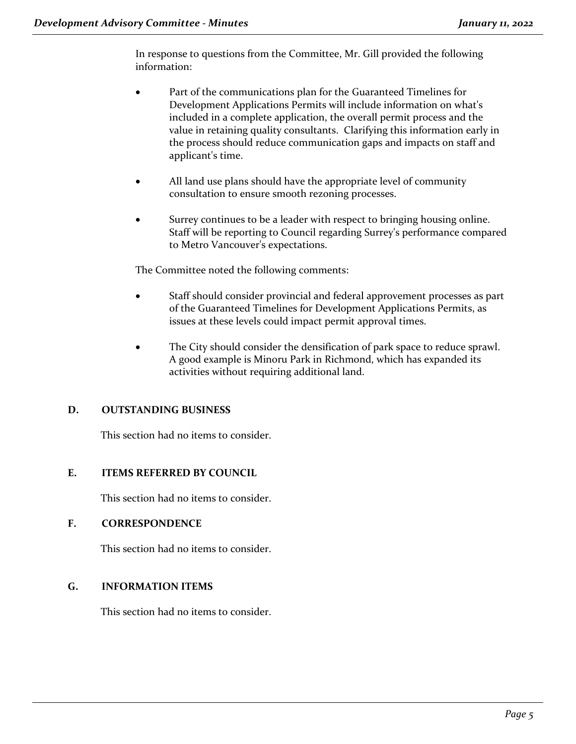In response to questions from the Committee, Mr. Gill provided the following information:

- Part of the communications plan for the Guaranteed Timelines for Development Applications Permits will include information on what's included in a complete application, the overall permit process and the value in retaining quality consultants. Clarifying this information early in the process should reduce communication gaps and impacts on staff and applicant's time.
- All land use plans should have the appropriate level of community consultation to ensure smooth rezoning processes.
- Surrey continues to be a leader with respect to bringing housing online. Staff will be reporting to Council regarding Surrey's performance compared to Metro Vancouver's expectations.

The Committee noted the following comments:

- Staff should consider provincial and federal approvement processes as part of the Guaranteed Timelines for Development Applications Permits, as issues at these levels could impact permit approval times.
- The City should consider the densification of park space to reduce sprawl. A good example is Minoru Park in Richmond, which has expanded its activities without requiring additional land.

## **D. OUTSTANDING BUSINESS**

This section had no items to consider.

## **E. ITEMS REFERRED BY COUNCIL**

This section had no items to consider.

#### **F. CORRESPONDENCE**

This section had no items to consider.

## **G. INFORMATION ITEMS**

This section had no items to consider.